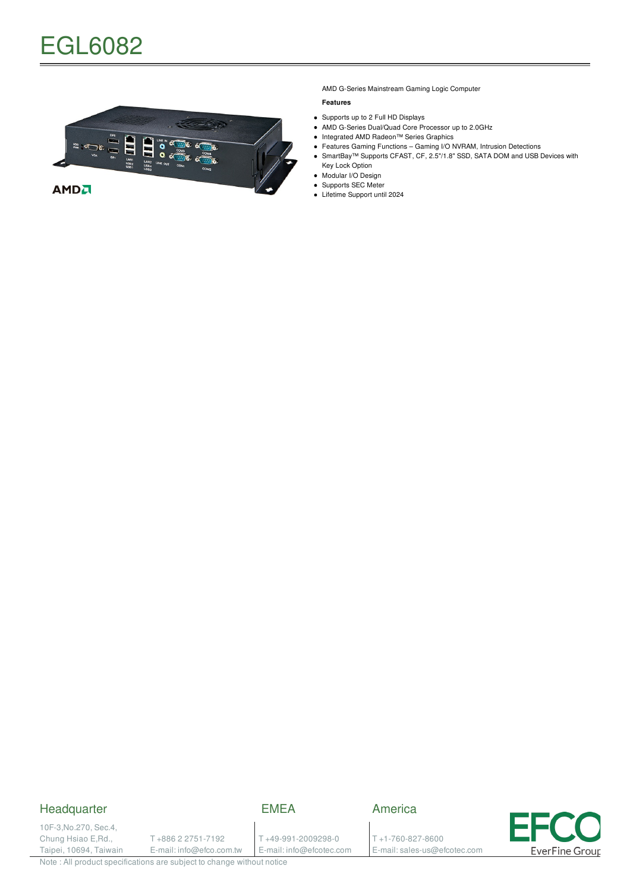

AMD G-Series Mainstream Gaming Logic Computer

#### **Features**

- Supports up to 2 Full HD Displays
- AMD G-Series Dual/Quad Core Processor up to 2.0GHz
- Integrated AMD Radeon™ Series Graphics
- Features Gaming Functions Gaming I/O NVRAM, Intrusion Detections • SmartBay™ Supports CFAST, CF, 2.5"/1.8" SSD, SATA DOM and USB Devices with Key Lock Option
- Modular I/O Design  $\bullet$
- Supports SEC Meter
- Lifetime Support until 2024

## Headquarter

# EMEA

10F-3,No.270, Sec.4, Chung Hsiao E,Rd., Taipei, 10694, Taiwain

T +886 2 2751-7192 E-mail: info@efco.com.tw

T +49-991-2009298-0 E-mail: info@efcotec.com

T +1-760-827-8600 E-mail: sales-us@efcotec.com

America



Note : All product specifications are subject to change without notice